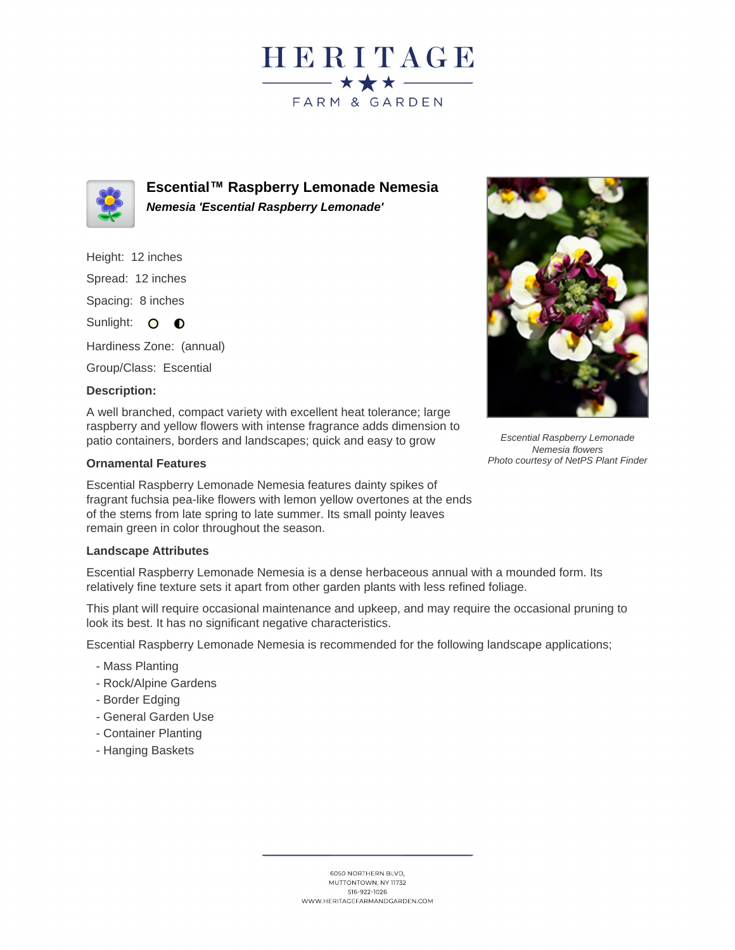



**Escential™ Raspberry Lemonade Nemesia Nemesia 'Escential Raspberry Lemonade'**

Height: 12 inches

Spread: 12 inches

Spacing: 8 inches

Sunlight: O **O** 

Hardiness Zone: (annual)

Group/Class: Escential

## **Description:**

A well branched, compact variety with excellent heat tolerance; large raspberry and yellow flowers with intense fragrance adds dimension to patio containers, borders and landscapes; quick and easy to grow

## **Ornamental Features**

Escential Raspberry Lemonade Nemesia features dainty spikes of fragrant fuchsia pea-like flowers with lemon yellow overtones at the ends of the stems from late spring to late summer. Its small pointy leaves remain green in color throughout the season.

## **Landscape Attributes**

Escential Raspberry Lemonade Nemesia is a dense herbaceous annual with a mounded form. Its relatively fine texture sets it apart from other garden plants with less refined foliage.

This plant will require occasional maintenance and upkeep, and may require the occasional pruning to look its best. It has no significant negative characteristics.

Escential Raspberry Lemonade Nemesia is recommended for the following landscape applications;

- Mass Planting
- Rock/Alpine Gardens
- Border Edging
- General Garden Use
- Container Planting
- Hanging Baskets



Escential Raspberry Lemonade Nemesia flowers Photo courtesy of NetPS Plant Finder